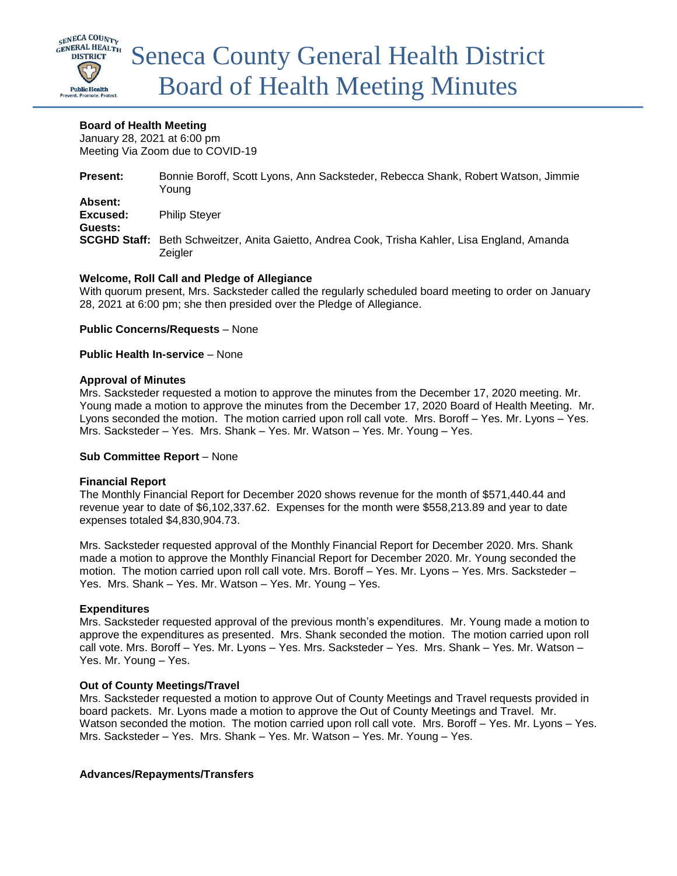

### **Board of Health Meeting**

January 28, 2021 at 6:00 pm Meeting Via Zoom due to COVID-19

| <b>Present:</b> | Bonnie Boroff, Scott Lyons, Ann Sacksteder, Rebecca Shank, Robert Watson, Jimmie<br>Young                       |
|-----------------|-----------------------------------------------------------------------------------------------------------------|
| Absent:         |                                                                                                                 |
| Excused:        | <b>Philip Stever</b>                                                                                            |
| Guests:         |                                                                                                                 |
|                 | <b>SCGHD Staff:</b> Beth Schweitzer, Anita Gaietto, Andrea Cook, Trisha Kahler, Lisa England, Amanda<br>Zeigler |

### **Welcome, Roll Call and Pledge of Allegiance**

With quorum present, Mrs. Sacksteder called the regularly scheduled board meeting to order on January 28, 2021 at 6:00 pm; she then presided over the Pledge of Allegiance.

### **Public Concerns/Requests** – None

### **Public Health In-service** – None

### **Approval of Minutes**

Mrs. Sacksteder requested a motion to approve the minutes from the December 17, 2020 meeting. Mr. Young made a motion to approve the minutes from the December 17, 2020 Board of Health Meeting. Mr. Lyons seconded the motion. The motion carried upon roll call vote. Mrs. Boroff – Yes. Mr. Lyons – Yes. Mrs. Sacksteder – Yes. Mrs. Shank – Yes. Mr. Watson – Yes. Mr. Young – Yes.

### **Sub Committee Report** – None

### **Financial Report**

The Monthly Financial Report for December 2020 shows revenue for the month of \$571,440.44 and revenue year to date of \$6,102,337.62. Expenses for the month were \$558,213.89 and year to date expenses totaled \$4,830,904.73.

Mrs. Sacksteder requested approval of the Monthly Financial Report for December 2020. Mrs. Shank made a motion to approve the Monthly Financial Report for December 2020. Mr. Young seconded the motion. The motion carried upon roll call vote. Mrs. Boroff – Yes. Mr. Lyons – Yes. Mrs. Sacksteder – Yes. Mrs. Shank – Yes. Mr. Watson – Yes. Mr. Young – Yes.

### **Expenditures**

Mrs. Sacksteder requested approval of the previous month's expenditures. Mr. Young made a motion to approve the expenditures as presented. Mrs. Shank seconded the motion. The motion carried upon roll call vote. Mrs. Boroff – Yes. Mr. Lyons – Yes. Mrs. Sacksteder – Yes. Mrs. Shank – Yes. Mr. Watson – Yes. Mr. Young – Yes.

### **Out of County Meetings/Travel**

Mrs. Sacksteder requested a motion to approve Out of County Meetings and Travel requests provided in board packets. Mr. Lyons made a motion to approve the Out of County Meetings and Travel. Mr. Watson seconded the motion. The motion carried upon roll call vote. Mrs. Boroff – Yes. Mr. Lyons – Yes. Mrs. Sacksteder – Yes. Mrs. Shank – Yes. Mr. Watson – Yes. Mr. Young – Yes.

### **Advances/Repayments/Transfers**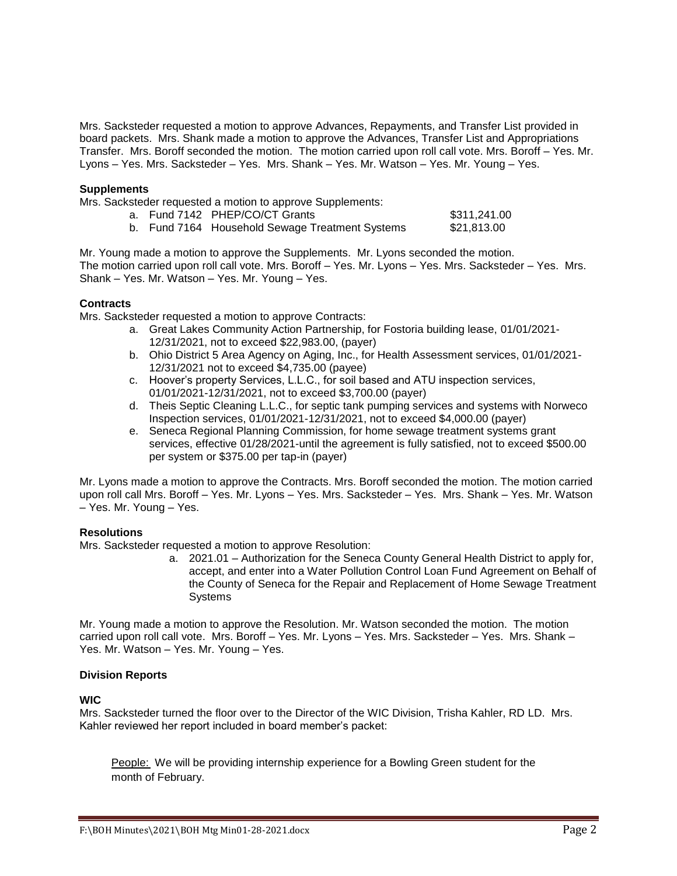Mrs. Sacksteder requested a motion to approve Advances, Repayments, and Transfer List provided in board packets. Mrs. Shank made a motion to approve the Advances, Transfer List and Appropriations Transfer. Mrs. Boroff seconded the motion. The motion carried upon roll call vote. Mrs. Boroff – Yes. Mr. Lyons – Yes. Mrs. Sacksteder – Yes. Mrs. Shank – Yes. Mr. Watson – Yes. Mr. Young – Yes.

#### **Supplements**

Mrs. Sacksteder requested a motion to approve Supplements:

| a. Fund 7142 PHEP/CO/CT Grants |
|--------------------------------|
|--------------------------------|

|  |  | b. Fund 7164 Household Sewage Treatment Systems |  | \$21,813.00 |
|--|--|-------------------------------------------------|--|-------------|
|--|--|-------------------------------------------------|--|-------------|

Mr. Young made a motion to approve the Supplements. Mr. Lyons seconded the motion. The motion carried upon roll call vote. Mrs. Boroff – Yes. Mr. Lyons – Yes. Mrs. Sacksteder – Yes. Mrs. Shank – Yes. Mr. Watson – Yes. Mr. Young – Yes.

#### **Contracts**

Mrs. Sacksteder requested a motion to approve Contracts:

- a. Great Lakes Community Action Partnership, for Fostoria building lease, 01/01/2021- 12/31/2021, not to exceed \$22,983.00, (payer)
- b. Ohio District 5 Area Agency on Aging, Inc., for Health Assessment services, 01/01/2021- 12/31/2021 not to exceed \$4,735.00 (payee)

 $$311,241.00$ 

- c. Hoover's property Services, L.L.C., for soil based and ATU inspection services, 01/01/2021-12/31/2021, not to exceed \$3,700.00 (payer)
- d. Theis Septic Cleaning L.L.C., for septic tank pumping services and systems with Norweco Inspection services, 01/01/2021-12/31/2021, not to exceed \$4,000.00 (payer)
- e. Seneca Regional Planning Commission, for home sewage treatment systems grant services, effective 01/28/2021-until the agreement is fully satisfied, not to exceed \$500.00 per system or \$375.00 per tap-in (payer)

Mr. Lyons made a motion to approve the Contracts. Mrs. Boroff seconded the motion. The motion carried upon roll call Mrs. Boroff – Yes. Mr. Lyons – Yes. Mrs. Sacksteder – Yes. Mrs. Shank – Yes. Mr. Watson – Yes. Mr. Young – Yes.

### **Resolutions**

Mrs. Sacksteder requested a motion to approve Resolution:

a. 2021.01 – Authorization for the Seneca County General Health District to apply for, accept, and enter into a Water Pollution Control Loan Fund Agreement on Behalf of the County of Seneca for the Repair and Replacement of Home Sewage Treatment **Systems** 

Mr. Young made a motion to approve the Resolution. Mr. Watson seconded the motion. The motion carried upon roll call vote. Mrs. Boroff – Yes. Mr. Lyons – Yes. Mrs. Sacksteder – Yes. Mrs. Shank – Yes. Mr. Watson – Yes. Mr. Young – Yes.

### **Division Reports**

#### **WIC**

Mrs. Sacksteder turned the floor over to the Director of the WIC Division, Trisha Kahler, RD LD. Mrs. Kahler reviewed her report included in board member's packet:

People: We will be providing internship experience for a Bowling Green student for the month of February.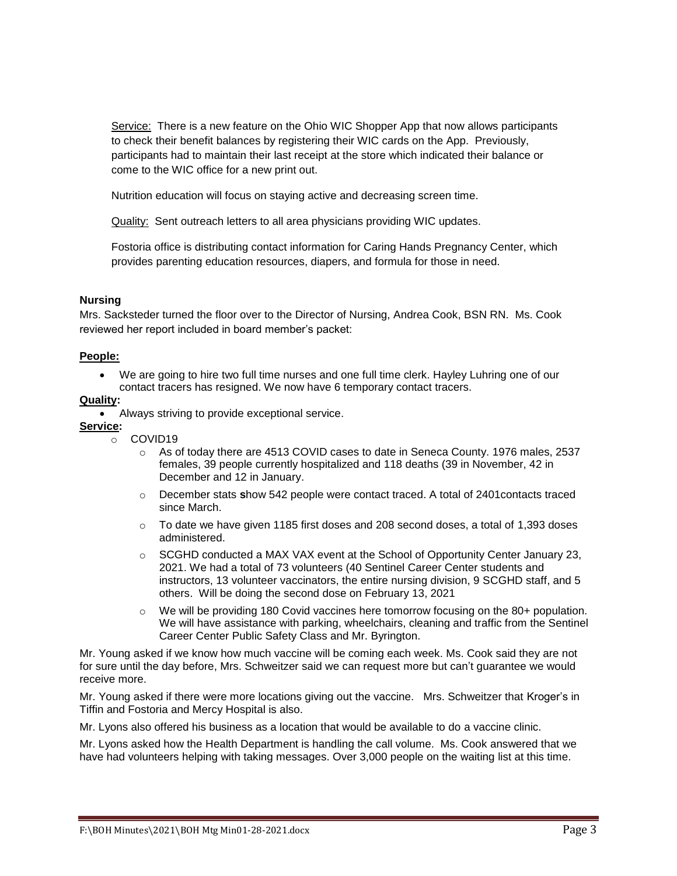Service: There is a new feature on the Ohio WIC Shopper App that now allows participants to check their benefit balances by registering their WIC cards on the App. Previously, participants had to maintain their last receipt at the store which indicated their balance or come to the WIC office for a new print out.

Nutrition education will focus on staying active and decreasing screen time.

Quality: Sent outreach letters to all area physicians providing WIC updates.

Fostoria office is distributing contact information for Caring Hands Pregnancy Center, which provides parenting education resources, diapers, and formula for those in need.

### **Nursing**

Mrs. Sacksteder turned the floor over to the Director of Nursing, Andrea Cook, BSN RN. Ms. Cook reviewed her report included in board member's packet:

### **People:**

 We are going to hire two full time nurses and one full time clerk. Hayley Luhring one of our contact tracers has resigned. We now have 6 temporary contact tracers.

## **Quality:**

Always striving to provide exceptional service.

# **Service:**

- o COVID19
	- o As of today there are 4513 COVID cases to date in Seneca County. 1976 males, 2537 females, 39 people currently hospitalized and 118 deaths (39 in November, 42 in December and 12 in January.
	- o December stats **s**how 542 people were contact traced. A total of 2401contacts traced since March.
	- $\circ$  To date we have given 1185 first doses and 208 second doses, a total of 1,393 doses administered.
	- $\circ$  SCGHD conducted a MAX VAX event at the School of Opportunity Center January 23, 2021. We had a total of 73 volunteers (40 Sentinel Career Center students and instructors, 13 volunteer vaccinators, the entire nursing division, 9 SCGHD staff, and 5 others. Will be doing the second dose on February 13, 2021
	- $\circ$  We will be providing 180 Covid vaccines here tomorrow focusing on the 80+ population. We will have assistance with parking, wheelchairs, cleaning and traffic from the Sentinel Career Center Public Safety Class and Mr. Byrington.

Mr. Young asked if we know how much vaccine will be coming each week. Ms. Cook said they are not for sure until the day before, Mrs. Schweitzer said we can request more but can't guarantee we would receive more.

Mr. Young asked if there were more locations giving out the vaccine. Mrs. Schweitzer that Kroger's in Tiffin and Fostoria and Mercy Hospital is also.

Mr. Lyons also offered his business as a location that would be available to do a vaccine clinic.

Mr. Lyons asked how the Health Department is handling the call volume. Ms. Cook answered that we have had volunteers helping with taking messages. Over 3,000 people on the waiting list at this time.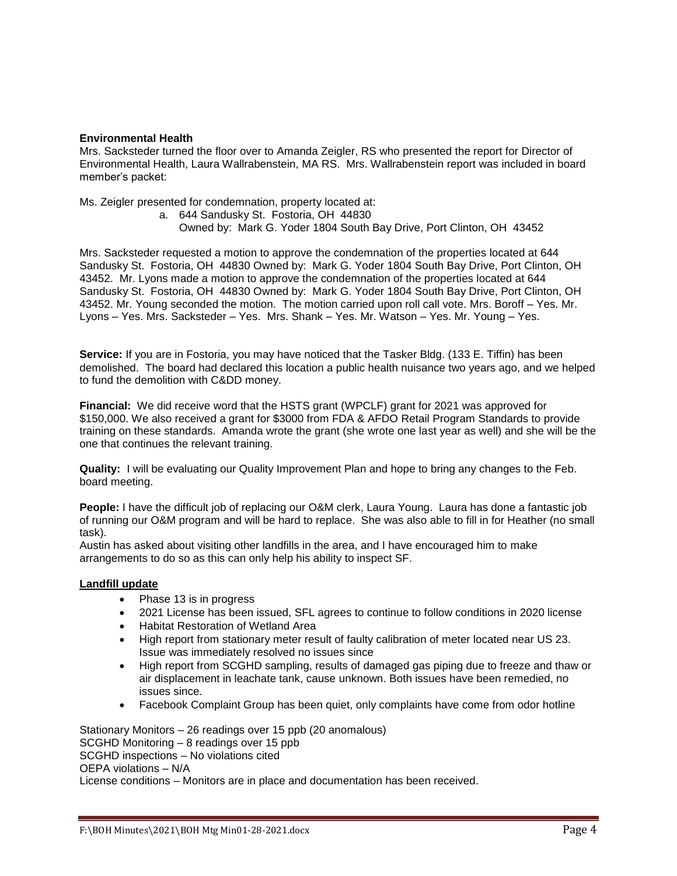### **Environmental Health**

Mrs. Sacksteder turned the floor over to Amanda Zeigler, RS who presented the report for Director of Environmental Health, Laura Wallrabenstein, MA RS. Mrs. Wallrabenstein report was included in board member's packet:

Ms. Zeigler presented for condemnation, property located at:

a. 644 Sandusky St. Fostoria, OH 44830

Owned by: Mark G. Yoder 1804 South Bay Drive, Port Clinton, OH 43452

Mrs. Sacksteder requested a motion to approve the condemnation of the properties located at 644 Sandusky St. Fostoria, OH 44830 Owned by: Mark G. Yoder 1804 South Bay Drive, Port Clinton, OH 43452. Mr. Lyons made a motion to approve the condemnation of the properties located at 644 Sandusky St. Fostoria, OH 44830 Owned by: Mark G. Yoder 1804 South Bay Drive, Port Clinton, OH 43452. Mr. Young seconded the motion. The motion carried upon roll call vote. Mrs. Boroff – Yes. Mr. Lyons – Yes. Mrs. Sacksteder – Yes. Mrs. Shank – Yes. Mr. Watson – Yes. Mr. Young – Yes.

**Service:** If you are in Fostoria, you may have noticed that the Tasker Bldg. (133 E. Tiffin) has been demolished. The board had declared this location a public health nuisance two years ago, and we helped to fund the demolition with C&DD money.

**Financial:** We did receive word that the HSTS grant (WPCLF) grant for 2021 was approved for \$150,000. We also received a grant for \$3000 from FDA & AFDO Retail Program Standards to provide training on these standards. Amanda wrote the grant (she wrote one last year as well) and she will be the one that continues the relevant training.

**Quality:** I will be evaluating our Quality Improvement Plan and hope to bring any changes to the Feb. board meeting.

**People:** I have the difficult job of replacing our O&M clerk, Laura Young. Laura has done a fantastic job of running our O&M program and will be hard to replace. She was also able to fill in for Heather (no small task).

Austin has asked about visiting other landfills in the area, and I have encouraged him to make arrangements to do so as this can only help his ability to inspect SF.

## **Landfill update**

- Phase 13 is in progress
- 2021 License has been issued, SFL agrees to continue to follow conditions in 2020 license
- Habitat Restoration of Wetland Area
- High report from stationary meter result of faulty calibration of meter located near US 23. Issue was immediately resolved no issues since
- High report from SCGHD sampling, results of damaged gas piping due to freeze and thaw or air displacement in leachate tank, cause unknown. Both issues have been remedied, no issues since.
- Facebook Complaint Group has been quiet, only complaints have come from odor hotline

Stationary Monitors – 26 readings over 15 ppb (20 anomalous) SCGHD Monitoring – 8 readings over 15 ppb SCGHD inspections – No violations cited OEPA violations – N/A License conditions – Monitors are in place and documentation has been received.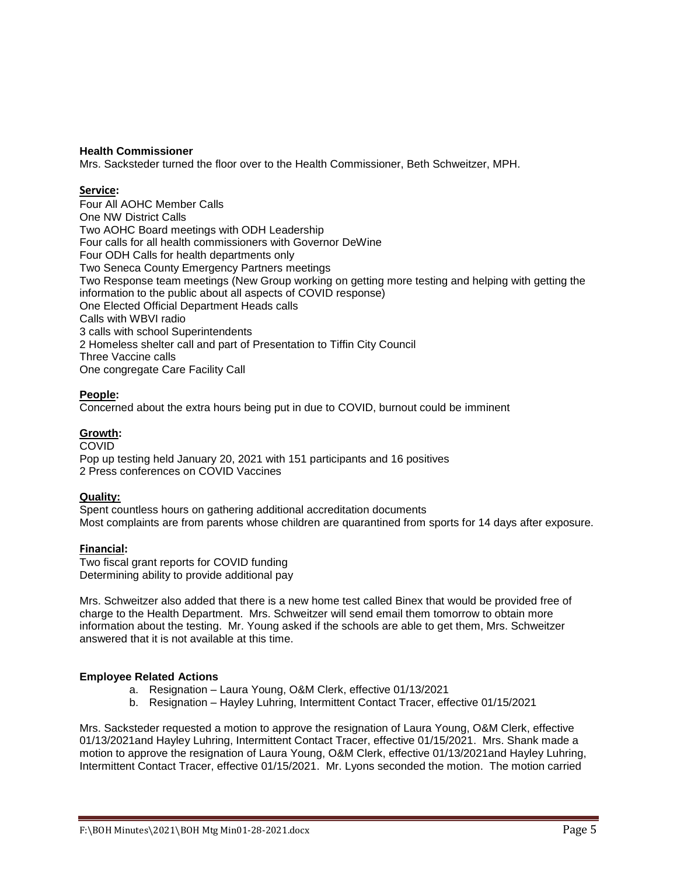### **Health Commissioner**

Mrs. Sacksteder turned the floor over to the Health Commissioner, Beth Schweitzer, MPH.

### **Service:**

Four All AOHC Member Calls One NW District Calls Two AOHC Board meetings with ODH Leadership Four calls for all health commissioners with Governor DeWine Four ODH Calls for health departments only Two Seneca County Emergency Partners meetings Two Response team meetings (New Group working on getting more testing and helping with getting the information to the public about all aspects of COVID response) One Elected Official Department Heads calls Calls with WBVI radio 3 calls with school Superintendents 2 Homeless shelter call and part of Presentation to Tiffin City Council Three Vaccine calls One congregate Care Facility Call

## **People:**

Concerned about the extra hours being put in due to COVID, burnout could be imminent

### **Growth:**

**COVID** 

Pop up testing held January 20, 2021 with 151 participants and 16 positives 2 Press conferences on COVID Vaccines

## **Quality:**

Spent countless hours on gathering additional accreditation documents Most complaints are from parents whose children are quarantined from sports for 14 days after exposure.

## **Financial:**

Two fiscal grant reports for COVID funding Determining ability to provide additional pay

Mrs. Schweitzer also added that there is a new home test called Binex that would be provided free of charge to the Health Department. Mrs. Schweitzer will send email them tomorrow to obtain more information about the testing. Mr. Young asked if the schools are able to get them, Mrs. Schweitzer answered that it is not available at this time.

### **Employee Related Actions**

- a. Resignation Laura Young, O&M Clerk, effective 01/13/2021
- b. Resignation Hayley Luhring, Intermittent Contact Tracer, effective 01/15/2021

Mrs. Sacksteder requested a motion to approve the resignation of Laura Young, O&M Clerk, effective 01/13/2021and Hayley Luhring, Intermittent Contact Tracer, effective 01/15/2021. Mrs. Shank made a motion to approve the resignation of Laura Young, O&M Clerk, effective 01/13/2021and Hayley Luhring, Intermittent Contact Tracer, effective 01/15/2021. Mr. Lyons seconded the motion. The motion carried